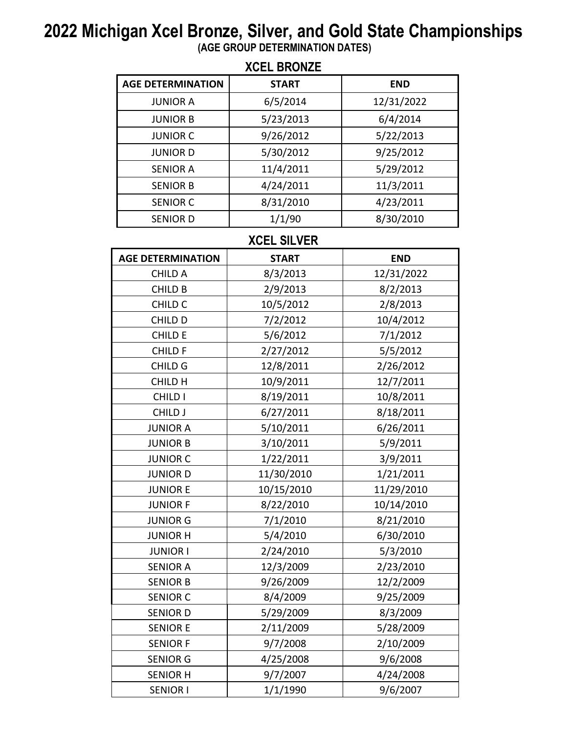## **2022 Michigan Xcel Bronze, Silver, and Gold State Championships**

**(AGE GROUP DETERMINATION DATES)**

| <b>XCEL BRONZE</b>       |              |            |  |
|--------------------------|--------------|------------|--|
| <b>AGE DETERMINATION</b> | <b>START</b> | <b>END</b> |  |
| <b>JUNIOR A</b>          | 6/5/2014     | 12/31/2022 |  |
| <b>JUNIOR B</b>          | 5/23/2013    | 6/4/2014   |  |
| <b>JUNIOR C</b>          | 9/26/2012    | 5/22/2013  |  |
| <b>JUNIORD</b>           | 5/30/2012    | 9/25/2012  |  |
| <b>SENIOR A</b>          | 11/4/2011    | 5/29/2012  |  |
| <b>SENIOR B</b>          | 4/24/2011    | 11/3/2011  |  |
| <b>SENIOR C</b>          | 8/31/2010    | 4/23/2011  |  |
| <b>SENIOR D</b>          | 1/1/90       | 8/30/2010  |  |

## **XCEL SILVER**

| <b>AGE DETERMINATION</b> | <b>START</b> | <b>END</b> |
|--------------------------|--------------|------------|
| CHILD A                  | 8/3/2013     | 12/31/2022 |
| <b>CHILD B</b>           | 2/9/2013     | 8/2/2013   |
| CHILD <sub>C</sub>       | 10/5/2012    | 2/8/2013   |
| CHILD D                  | 7/2/2012     | 10/4/2012  |
| CHILD E                  | 5/6/2012     | 7/1/2012   |
| CHILD F                  | 2/27/2012    | 5/5/2012   |
| CHILD G                  | 12/8/2011    | 2/26/2012  |
| CHILD H                  | 10/9/2011    | 12/7/2011  |
| CHILD I                  | 8/19/2011    | 10/8/2011  |
| CHILD J                  | 6/27/2011    | 8/18/2011  |
| <b>JUNIOR A</b>          | 5/10/2011    | 6/26/2011  |
| <b>JUNIOR B</b>          | 3/10/2011    | 5/9/2011   |
| <b>JUNIOR C</b>          | 1/22/2011    | 3/9/2011   |
| <b>JUNIORD</b>           | 11/30/2010   | 1/21/2011  |
| <b>JUNIOR E</b>          | 10/15/2010   | 11/29/2010 |
| <b>JUNIOR F</b>          | 8/22/2010    | 10/14/2010 |
| <b>JUNIOR G</b>          | 7/1/2010     | 8/21/2010  |
| <b>JUNIOR H</b>          | 5/4/2010     | 6/30/2010  |
| <b>JUNIOR I</b>          | 2/24/2010    | 5/3/2010   |
| <b>SENIOR A</b>          | 12/3/2009    | 2/23/2010  |
| <b>SENIOR B</b>          | 9/26/2009    | 12/2/2009  |
| <b>SENIOR C</b>          | 8/4/2009     | 9/25/2009  |
| <b>SENIOR D</b>          | 5/29/2009    | 8/3/2009   |
| <b>SENIOR E</b>          | 2/11/2009    | 5/28/2009  |
| <b>SENIOR F</b>          | 9/7/2008     | 2/10/2009  |
| <b>SENIOR G</b>          | 4/25/2008    | 9/6/2008   |
| <b>SENIOR H</b>          | 9/7/2007     | 4/24/2008  |
| <b>SENIOR I</b>          | 1/1/1990     | 9/6/2007   |